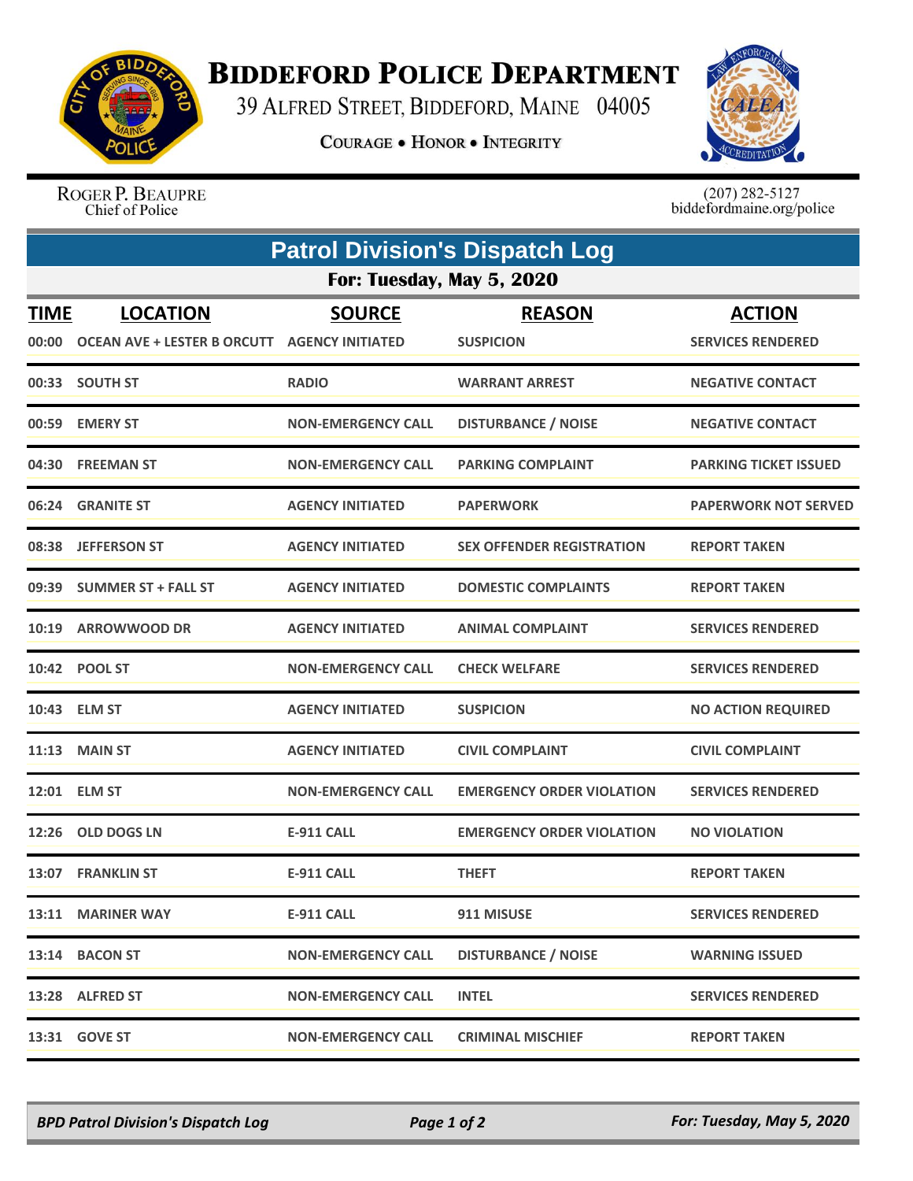

## **BIDDEFORD POLICE DEPARTMENT**

39 ALFRED STREET, BIDDEFORD, MAINE 04005

**COURAGE . HONOR . INTEGRITY** 



ROGER P. BEAUPRE Chief of Police

 $(207)$  282-5127<br>biddefordmaine.org/police

| <b>Patrol Division's Dispatch Log</b> |                                                                        |                           |                                   |                                           |  |  |  |
|---------------------------------------|------------------------------------------------------------------------|---------------------------|-----------------------------------|-------------------------------------------|--|--|--|
| For: Tuesday, May 5, 2020             |                                                                        |                           |                                   |                                           |  |  |  |
| <b>TIME</b><br>00:00                  | <b>LOCATION</b><br><b>OCEAN AVE + LESTER B ORCUTT AGENCY INITIATED</b> | <b>SOURCE</b>             | <b>REASON</b><br><b>SUSPICION</b> | <b>ACTION</b><br><b>SERVICES RENDERED</b> |  |  |  |
|                                       | 00:33 SOUTH ST                                                         | <b>RADIO</b>              | <b>WARRANT ARREST</b>             | <b>NEGATIVE CONTACT</b>                   |  |  |  |
|                                       | 00:59 EMERY ST                                                         | <b>NON-EMERGENCY CALL</b> | <b>DISTURBANCE / NOISE</b>        | <b>NEGATIVE CONTACT</b>                   |  |  |  |
|                                       | 04:30 FREEMAN ST                                                       | <b>NON-EMERGENCY CALL</b> | <b>PARKING COMPLAINT</b>          | <b>PARKING TICKET ISSUED</b>              |  |  |  |
| 06:24                                 | <b>GRANITE ST</b>                                                      | <b>AGENCY INITIATED</b>   | <b>PAPERWORK</b>                  | <b>PAPERWORK NOT SERVED</b>               |  |  |  |
| 08:38                                 | <b>JEFFERSON ST</b>                                                    | <b>AGENCY INITIATED</b>   | <b>SEX OFFENDER REGISTRATION</b>  | <b>REPORT TAKEN</b>                       |  |  |  |
| 09:39                                 | <b>SUMMER ST + FALL ST</b>                                             | <b>AGENCY INITIATED</b>   | <b>DOMESTIC COMPLAINTS</b>        | <b>REPORT TAKEN</b>                       |  |  |  |
| 10:19                                 | <b>ARROWWOOD DR</b>                                                    | <b>AGENCY INITIATED</b>   | <b>ANIMAL COMPLAINT</b>           | <b>SERVICES RENDERED</b>                  |  |  |  |
|                                       | 10:42 POOL ST                                                          | <b>NON-EMERGENCY CALL</b> | <b>CHECK WELFARE</b>              | <b>SERVICES RENDERED</b>                  |  |  |  |
|                                       | 10:43 ELM ST                                                           | <b>AGENCY INITIATED</b>   | <b>SUSPICION</b>                  | <b>NO ACTION REQUIRED</b>                 |  |  |  |
|                                       | <b>11:13 MAIN ST</b>                                                   | <b>AGENCY INITIATED</b>   | <b>CIVIL COMPLAINT</b>            | <b>CIVIL COMPLAINT</b>                    |  |  |  |
| 12:01                                 | <b>ELM ST</b>                                                          | <b>NON-EMERGENCY CALL</b> | <b>EMERGENCY ORDER VIOLATION</b>  | <b>SERVICES RENDERED</b>                  |  |  |  |
| 12:26                                 | <b>OLD DOGS LN</b>                                                     | <b>E-911 CALL</b>         | <b>EMERGENCY ORDER VIOLATION</b>  | <b>NO VIOLATION</b>                       |  |  |  |
|                                       | 13:07 FRANKLIN ST                                                      | <b>E-911 CALL</b>         | <b>THEFT</b>                      | <b>REPORT TAKEN</b>                       |  |  |  |
|                                       | 13:11 MARINER WAY                                                      | <b>E-911 CALL</b>         | 911 MISUSE                        | <b>SERVICES RENDERED</b>                  |  |  |  |
|                                       | 13:14 BACON ST                                                         | <b>NON-EMERGENCY CALL</b> | <b>DISTURBANCE / NOISE</b>        | <b>WARNING ISSUED</b>                     |  |  |  |
|                                       | 13:28 ALFRED ST                                                        | <b>NON-EMERGENCY CALL</b> | <b>INTEL</b>                      | <b>SERVICES RENDERED</b>                  |  |  |  |
|                                       | 13:31 GOVE ST                                                          | <b>NON-EMERGENCY CALL</b> | <b>CRIMINAL MISCHIEF</b>          | <b>REPORT TAKEN</b>                       |  |  |  |